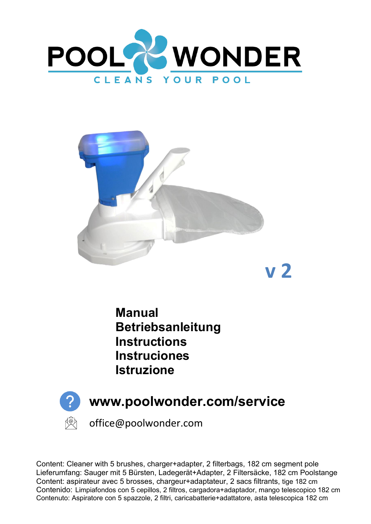



**Manual Betriebsanleitung Instructions Instruciones Istruzione** 



Content: Cleaner with 5 brushes, charger+adapter, 2 filterbags, 182 cm segment pole Lieferumfang: Sauger mit 5 Bürsten, Ladegerät+Adapter, 2 Filtersäcke, 182 cm Poolstange Content: aspirateur avec 5 brosses, chargeur+adaptateur, 2 sacs filtrants, tige 182 cm Contenido: Limpiafondos con 5 cepillos, 2 filtros, cargadora+adaptador, mango telescopico 182 cm Contenuto: Aspiratore con 5 spazzole, 2 filtri, caricabatterie+adattatore, asta telescopica 182 cm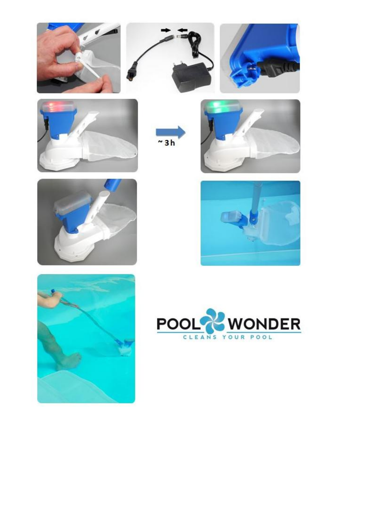

















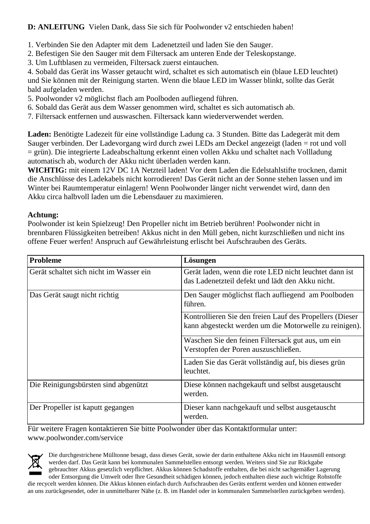### **D: ANLEITUNG** Vielen Dank, dass Sie sich für Poolwonder v2 entschieden haben!

- 1. Verbinden Sie den Adapter mit dem Ladenetzteil und laden Sie den Sauger.
- 2. Befestigen Sie den Sauger mit dem Filtersack am unteren Ende der Teleskopstange.
- 3. Um Luftblasen zu vermeiden, Filtersack zuerst eintauchen.

4. Sobald das Gerät ins Wasser getaucht wird, schaltet es sich automatisch ein (blaue LED leuchtet) und Sie können mit der Reinigung starten. Wenn die blaue LED im Wasser blinkt, sollte das Gerät bald aufgeladen werden.

- 5. Poolwonder v2 möglichst flach am Poolboden aufliegend führen.
- 6. Sobald das Gerät aus dem Wasser genommen wird, schaltet es sich automatisch ab.
- 7. Filtersack entfernen und auswaschen. Filtersack kann wiederverwendet werden.

**Laden:** Benötigte Ladezeit für eine vollständige Ladung ca. 3 Stunden. Bitte das Ladegerät mit dem Sauger verbinden. Der Ladevorgang wird durch zwei LEDs am Deckel angezeigt (laden = rot und voll = grün). Die integrierte Ladeabschaltung erkennt einen vollen Akku und schaltet nach Vollladung automatisch ab, wodurch der Akku nicht überladen werden kann.

**WICHTIG:** mit einem 12V DC 1A Netzteil laden! Vor dem Laden die Edelstahlstifte trocknen, damit die Anschlüsse des Ladekabels nicht korrodieren! Das Gerät nicht an der Sonne stehen lassen und im Winter bei Raumtemperatur einlagern! Wenn Poolwonder länger nicht verwendet wird, dann den Akku circa halbvoll laden um die Lebensdauer zu maximieren.

### **Achtung:**

Poolwonder ist kein Spielzeug! Den Propeller nicht im Betrieb berühren! Poolwonder nicht in brennbaren Flüssigkeiten betreiben! Akkus nicht in den Müll geben, nicht kurzschließen und nicht ins offene Feuer werfen! Anspruch auf Gewährleistung erlischt bei Aufschrauben des Geräts.

| <b>Probleme</b>                         | Lösungen                                                                                                           |
|-----------------------------------------|--------------------------------------------------------------------------------------------------------------------|
| Gerät schaltet sich nicht im Wasser ein | Gerät laden, wenn die rote LED nicht leuchtet dann ist<br>das Ladenetzteil defekt und lädt den Akku nicht.         |
| Das Gerät saugt nicht richtig           | Den Sauger möglichst flach aufliegend am Poolboden<br>führen.                                                      |
|                                         | Kontrollieren Sie den freien Lauf des Propellers (Dieser<br>kann abgesteckt werden um die Motorwelle zu reinigen). |
|                                         | Waschen Sie den feinen Filtersack gut aus, um ein<br>Verstopfen der Poren auszuschließen.                          |
|                                         | Laden Sie das Gerät vollständig auf, bis dieses grün<br>leuchtet.                                                  |
| Die Reinigungsbürsten sind abgenützt    | Diese können nachgekauft und selbst ausgetauscht<br>werden.                                                        |
| Der Propeller ist kaputt gegangen       | Dieser kann nachgekauft und selbst ausgetauscht<br>werden.                                                         |

Für weitere Fragen kontaktieren Sie bitte Poolwonder über das Kontaktformular unter: www.poolwonder.com/service



Die durchgestrichene Mülltonne besagt, dass dieses Gerät, sowie der darin enthaltene Akku nicht im Hausmüll entsorgt werden darf. Das Gerät kann bei kommunalen Sammelstellen entsorgt werden. Weiters sind Sie zur Rückgabe gebrauchter Akkus gesetzlich verpflichtet. Akkus können Schadstoffe enthalten, die bei nicht sachgemäßer Lagerung oder Entsorgung die Umwelt oder Ihre Gesundheit schädigen können, jedoch enthalten diese auch wichtige Rohstoffe die recycelt werden können. Die Akkus können einfach durch Aufschrauben des Geräts entfernt werden und können entweder an uns zurückgesendet, oder in unmittelbarer Nähe (z. B. im Handel oder in kommunalen Sammelstellen zurückgeben werden).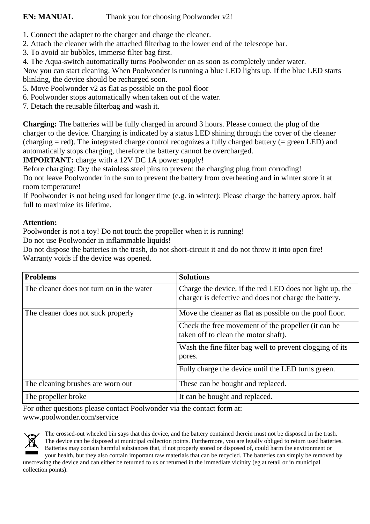- 1. Connect the adapter to the charger and charge the cleaner.
- 2. Attach the cleaner with the attached filterbag to the lower end of the telescope bar.
- 3. To avoid air bubbles, immerse filter bag first.
- 4. The Aqua-switch automatically turns Poolwonder on as soon as completely under water.

Now you can start cleaning. When Poolwonder is running a blue LED lights up. If the blue LED starts blinking, the device should be recharged soon.

- 5. Move Poolwonder v2 as flat as possible on the pool floor
- 6. Poolwonder stops automatically when taken out of the water.
- 7. Detach the reusable filterbag and wash it.

**Charging:** The batteries will be fully charged in around 3 hours. Please connect the plug of the charger to the device. Charging is indicated by a status LED shining through the cover of the cleaner (charging = red). The integrated charge control recognizes a fully charged battery (= green LED) and automatically stops charging, therefore the battery cannot be overcharged.

**IMPORTANT:** charge with a 12V DC 1A power supply!

Before charging: Dry the stainless steel pins to prevent the charging plug from corroding! Do not leave Poolwonder in the sun to prevent the battery from overheating and in winter store it at

room temperature!

If Poolwonder is not being used for longer time (e.g. in winter): Please charge the battery aprox. half full to maximize its lifetime.

### **Attention:**

Poolwonder is not a toy! Do not touch the propeller when it is running!

Do not use Poolwonder in inflammable liquids!

Do not dispose the batteries in the trash, do not short-circuit it and do not throw it into open fire! Warranty voids if the device was opened.

| <b>Problems</b>                           | <b>Solutions</b>                                                                                                  |
|-------------------------------------------|-------------------------------------------------------------------------------------------------------------------|
| The cleaner does not turn on in the water | Charge the device, if the red LED does not light up, the<br>charger is defective and does not charge the battery. |
| The cleaner does not suck properly        | Move the cleaner as flat as possible on the pool floor.                                                           |
|                                           | Check the free movement of the propeller (it can be<br>taken off to clean the motor shaft).                       |
|                                           | Wash the fine filter bag well to prevent clogging of its<br>pores.                                                |
|                                           | Fully charge the device until the LED turns green.                                                                |
| The cleaning brushes are worn out         | These can be bought and replaced.                                                                                 |
| The propeller broke                       | It can be bought and replaced.                                                                                    |

For other questions please contact Poolwonder via the contact form at: www.poolwonder.com/service



The crossed-out wheeled bin says that this device, and the battery contained therein must not be disposed in the trash. The device can be disposed at municipal collection points. Furthermore, you are legally obliged to return used batteries. Batteries may contain harmful substances that, if not properly stored or disposed of, could harm the environment or your health, but they also contain important raw materials that can be recycled. The batteries can simply be removed by unscrewing the device and can either be returned to us or returned in the immediate vicinity (eg at retail or in municipal collection points).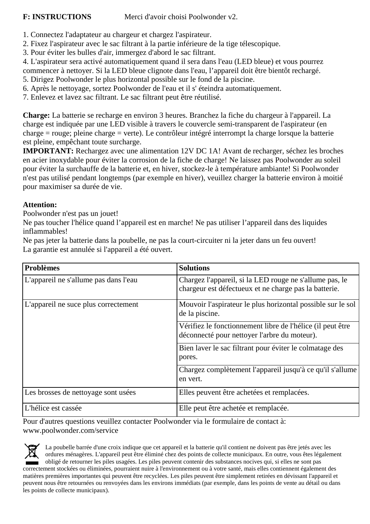**F: INSTRUCTIONS** Merci d'avoir choisi Poolwonder v2.

- 1. Connectez l'adaptateur au chargeur et chargez l'aspirateur.
- 2. Fixez l'aspirateur avec le sac filtrant à la partie inférieure de la tige télescopique.
- 3. Pour éviter les bulles d'air, immergez d'abord le sac filtrant.

4. L'aspirateur sera activé automatiquement quand il sera dans l'eau (LED bleue) et vous pourrez

commencer à nettoyer. Si la LED bleue clignote dans l'eau, l'appareil doit être bientôt rechargé.

5. Dirigez Poolwonder le plus horizontal possible sur le fond de la piscine.

6. Après le nettoyage, sortez Poolwonder de l'eau et il s' éteindra automatiquement.

7. Enlevez et lavez sac filtrant. Le sac filtrant peut être réutilisé.

**Charge:** La batterie se recharge en environ 3 heures. Branchez la fiche du chargeur à l'appareil. La charge est indiquée par une LED visible à travers le couvercle semi-transparent de l'aspirateur (en charge = rouge; pleine charge = verte). Le contrôleur intégré interrompt la charge lorsque la batterie est pleine, empêchant toute surcharge.

**IMPORTANT:** Rechargez avec une alimentation 12V DC 1A! Avant de recharger, séchez les broches en acier inoxydable pour éviter la corrosion de la fiche de charge! Ne laissez pas Poolwonder au soleil pour éviter la surchauffe de la batterie et, en hiver, stockez-le à température ambiante! Si Poolwonder n'est pas utilisé pendant longtemps (par exemple en hiver), veuillez charger la batterie environ à moitié pour maximiser sa durée de vie.

#### **Attention:**

Poolwonder n'est pas un jouet!

Ne pas toucher l'hélice quand l'appareil est en marche! Ne pas utiliser l'appareil dans des liquides inflammables!

Ne pas jeter la batterie dans la poubelle, ne pas la court-circuiter ni la jeter dans un feu ouvert! La garantie est annulée si l'appareil a été ouvert.

| <b>Problèmes</b>                      | <b>Solutions</b>                                                                                                 |
|---------------------------------------|------------------------------------------------------------------------------------------------------------------|
| L'appareil ne s'allume pas dans l'eau | Chargez l'appareil, si la LED rouge ne s'allume pas, le<br>chargeur est défectueux et ne charge pas la batterie. |
| L'appareil ne suce plus correctement  | Mouvoir l'aspirateur le plus horizontal possible sur le sol<br>de la piscine.                                    |
|                                       | Vérifiez le fonctionnement libre de l'hélice (il peut être<br>déconnecté pour nettoyer l'arbre du moteur).       |
|                                       | Bien laver le sac filtrant pour éviter le colmatage des<br>pores.                                                |
|                                       | Chargez complètement l'appareil jusqu'à ce qu'il s'allume<br>en vert.                                            |
| Les brosses de nettoyage sont usées   | Elles peuvent être achetées et remplacées.                                                                       |
| L'hélice est cassée                   | Elle peut être achetée et remplacée.                                                                             |

Pour d'autres questions veuillez contacter Poolwonder via le formulaire de contact à: www.poolwonder.com/service

La poubelle barrée d'une croix indique que cet appareil et la batterie qu'il contient ne doivent pas être jetés avec les ordures ménagères. L'appareil peut être éliminé chez des points de collecte municipaux. En outre, vous êtes légalement obligé de retourner les piles usagées. Les piles peuvent contenir des substances nocives qui, si elles ne sont pas correctement stockées ou éliminées, pourraient nuire à l'environnement ou à votre santé, mais elles contiennent également des matières premières importantes qui peuvent être recyclées. Les piles peuvent être simplement retirées en dévissant l'appareil et peuvent nous être retournées ou renvoyées dans les environs immédiats (par exemple, dans les points de vente au détail ou dans les points de collecte municipaux).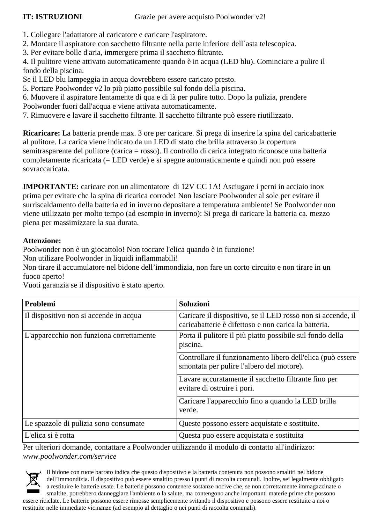- 1. Collegare l'adattatore al caricatore e caricare l'aspiratore.
- 2. Montare il aspiratore con sacchetto filtrante nella parte inferiore dell´asta telescopica.
- 3. Per evitare bolle d'aria, immergere prima il sacchetto filtr filtrante.

4. Il pulitore viene attivato automaticamente quando è in acqua (LED blu). Cominciare a pulire il fondo della piscina.

### **Attenzione:**

| fondo della piscina.<br>Se il LED blu lampeggia in acqua dovrebbero essere caricato presto.                                                                                                                               | 4. Il pulitore viene attivato automaticamente quando è in acqua (LED blu). Cominciare a pulire il                                                                                                                                                                                                                                                                                                                                                                                                                                                                                                                                                                                                                                     |
|---------------------------------------------------------------------------------------------------------------------------------------------------------------------------------------------------------------------------|---------------------------------------------------------------------------------------------------------------------------------------------------------------------------------------------------------------------------------------------------------------------------------------------------------------------------------------------------------------------------------------------------------------------------------------------------------------------------------------------------------------------------------------------------------------------------------------------------------------------------------------------------------------------------------------------------------------------------------------|
| 5. Portare Poolwonder v2 lo più piatto possibile sul fondo della piscina.<br>6. Muovere il aspiratore lentamente di qua e di là per pulire tutto. Dopo la pulizia, prendere                                               |                                                                                                                                                                                                                                                                                                                                                                                                                                                                                                                                                                                                                                                                                                                                       |
| Poolwonder fuori dall'acqua e viene attivata automaticamente.                                                                                                                                                             |                                                                                                                                                                                                                                                                                                                                                                                                                                                                                                                                                                                                                                                                                                                                       |
| 7. Rimuovere e lavare il sacchetto filtrante. Il sacchetto filtrante può essere riutilizzato.                                                                                                                             |                                                                                                                                                                                                                                                                                                                                                                                                                                                                                                                                                                                                                                                                                                                                       |
| al pulitore. La carica viene indicato da un LED di stato che brilla attraverso la copertura<br>sovraccaricata.                                                                                                            | Ricaricare: La batteria prende max. 3 ore per caricare. Si prega di inserire la spina del caricabatterie<br>semitrasparente del pulitore (carica = rosso). Il controllo di carica integrato riconosce una batteria<br>completamente ricaricata (= LED verde) e si spegne automaticamente e quindi non può essere                                                                                                                                                                                                                                                                                                                                                                                                                      |
| piena per massimizzare la sua durata.                                                                                                                                                                                     | <b>IMPORTANTE:</b> caricare con un alimentatore di 12V CC 1A! Asciugare i perni in acciaio inox<br>prima per evitare che la spina di ricarica corrode! Non lasciare Poolwonder al sole per evitare il<br>surriscaldamento della batteria ed in inverno depositare a temperatura ambiente! Se Poolwonder non<br>viene utilizzato per molto tempo (ad esempio in inverno): Si prega di caricare la batteria ca. mezzo                                                                                                                                                                                                                                                                                                                   |
| <b>Attenzione:</b><br>Poolwonder non è un giocattolo! Non toccare l'elica quando è in funzione!<br>Non utilizare Poolwonder in liquidi inflammabili!<br>fuoco aperto!<br>Vuoti garanzia se il dispositivo è stato aperto. | Non tirare il accumulatore nel bidone dell'immondizia, non fare un corto circuito e non tirare in un                                                                                                                                                                                                                                                                                                                                                                                                                                                                                                                                                                                                                                  |
| Problemi                                                                                                                                                                                                                  | Soluzioni                                                                                                                                                                                                                                                                                                                                                                                                                                                                                                                                                                                                                                                                                                                             |
| Il dispositivo non si accende in acqua                                                                                                                                                                                    | Caricare il dispositivo, se il LED rosso non si accende, il<br>caricabatterie è difettoso e non carica la batteria.                                                                                                                                                                                                                                                                                                                                                                                                                                                                                                                                                                                                                   |
| L'apparecchio non funziona correttamente                                                                                                                                                                                  | Porta il pulitore il più piatto possibile sul fondo della<br>piscina.                                                                                                                                                                                                                                                                                                                                                                                                                                                                                                                                                                                                                                                                 |
|                                                                                                                                                                                                                           | Controllare il funzionamento libero dell'elica (può essere<br>smontata per pulire l'albero del motore).                                                                                                                                                                                                                                                                                                                                                                                                                                                                                                                                                                                                                               |
|                                                                                                                                                                                                                           | Lavare accuratamente il sacchetto filtrante fino per<br>evitare di ostruire i pori.                                                                                                                                                                                                                                                                                                                                                                                                                                                                                                                                                                                                                                                   |
|                                                                                                                                                                                                                           | Caricare l'apparecchio fino a quando la LED brilla<br>verde.                                                                                                                                                                                                                                                                                                                                                                                                                                                                                                                                                                                                                                                                          |
| Le spazzole di pulizia sono consumate                                                                                                                                                                                     | Queste possono essere acquistate e sostituite.                                                                                                                                                                                                                                                                                                                                                                                                                                                                                                                                                                                                                                                                                        |
| L'elica si è rotta                                                                                                                                                                                                        | Questa puo essere acquistata e sostituita                                                                                                                                                                                                                                                                                                                                                                                                                                                                                                                                                                                                                                                                                             |
| www.poolwonder.com/service                                                                                                                                                                                                | Per ulteriori domande, contattare a Poolwonder utilizzando il modulo di contatto all'indirizzo:                                                                                                                                                                                                                                                                                                                                                                                                                                                                                                                                                                                                                                       |
|                                                                                                                                                                                                                           | Il bidone con ruote barrato indica che questo dispositivo e la batteria contenuta non possono smaltiti nel bidone<br>dell'immondizia. Il dispositivo può essere smaltito presso i punti di raccolta comunali. Inoltre, sei legalmente obbligato<br>a restituire le batterie usate. Le batterie possono contenere sostanze nocive che, se non correttamente immagazzinate o<br>smaltite, potrebbero danneggiare l'ambiente o la salute, ma contengono anche importanti materie prime che possono<br>essere riciclate. Le batterie possono essere rimosse semplicemente svitando il dispositivo e possono essere restituite a noi o<br>restituite nelle immediate vicinanze (ad esempio al dettaglio o nei punti di raccolta comunali). |

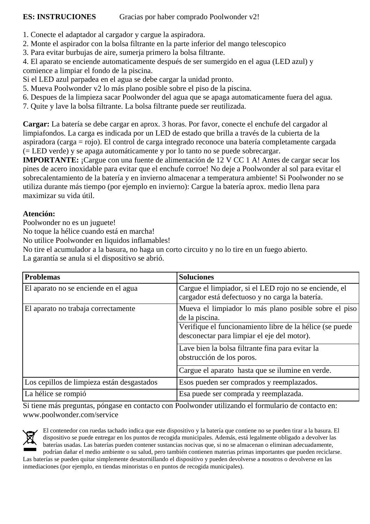- 1. Conecte el adaptador al cargador y cargue la aspiradora.
- 2. Monte el aspirador con la bolsa filtrante en la parte inferior del mango telescopico
- 3. Para evitar burbujas de aire, sumerja primero la bolsa filtrante.

4. El aparato se enciende automaticamente después de ser sumergido en el agua (LED azul) y comience a limpiar el fondo de la piscina.

Si el LED azul parpadea en el agua se debe cargar la unidad pronto.

- 5. Mueva Poolwonder v2 lo más plano posible sobre el piso de la piscina.
- 6. Despues de la limpieza sacar Poolwonder del agua que se apaga automaticamente fuera del agua.
- 7. Quite y lave la bolsa filtrante. La bolsa filtrante puede ser reutilizada.

**Cargar:** La batería se debe cargar en aprox. 3 horas. Por favor, conecte el enchufe del cargador al limpiafondos. La carga es indicada por un LED de estado que brilla a través de la cubierta de la aspiradora (carga = rojo). El control de carga integrado reconoce una batería completamente cargada (= LED verde) y se apaga automáticamente y por lo tanto no se puede sobrecargar.

**IMPORTANTE:** ¡Cargue con una fuente de alimentación de 12 V CC 1 A! Antes de cargar secar los pines de acero inoxidable para evitar que el enchufe corroe! No deje a Poolwonder al sol para evitar el sobrecalentamiento de la batería y en invierno almacenar a temperatura ambiente! Si Poolwonder no se utiliza durante más tiempo (por ejemplo en invierno): Cargue la batería aprox. medio llena para maximizar su vida útil.

#### **Atención:**

Poolwonder no es un juguete!

No toque la hélice cuando está en marcha!

No utilice Poolwonder en liquidos inflamables!

No tire el acumulador a la basura, no haga un corto circuito y no lo tire en un fuego abierto.

La garantía se anula si el dispositivo se abrió.

| <b>Problemas</b>                           | <b>Soluciones</b>                                                                                         |
|--------------------------------------------|-----------------------------------------------------------------------------------------------------------|
| El aparato no se enciende en el agua       | Cargue el limpiador, si el LED rojo no se enciende, el<br>cargador está defectuoso y no carga la batería. |
| El aparato no trabaja correctamente        | Mueva el limpiador lo más plano posible sobre el piso<br>de la piscina.                                   |
|                                            | Verifique el funcionamiento libre de la hélice (se puede<br>desconectar para limpiar el eje del motor).   |
|                                            | Lave bien la bolsa filtrante fina para evitar la<br>obstrucción de los poros.                             |
|                                            | Cargue el aparato hasta que se ilumine en verde.                                                          |
| Los cepillos de limpieza están desgastados | Esos pueden ser comprados y reemplazados.                                                                 |
| La hélice se rompió                        | Esa puede ser comprada y reemplazada.                                                                     |

Si tiene más preguntas, póngase en contacto con Poolwonder utilizando el formulario de contacto en: www.poolwonder.com/service



El contenedor con ruedas tachado indica que este dispositivo y la batería que contiene no se pueden tirar a la basura. El dispositivo se puede entregar en los puntos de recogida municipales. Además, está legalmente obligado a devolver las baterías usadas. Las baterías pueden contener sustancias nocivas que, si no se almacenan o eliminan adecuadamente, podrían dañar el medio ambiente o su salud, pero también contienen materias primas importantes que pueden reciclarse.

Las baterías se pueden quitar simplemente desatornillando el dispositivo y pueden devolverse a nosotros o devolverse en las inmediaciones (por ejemplo, en tiendas minoristas o en puntos de recogida municipales).